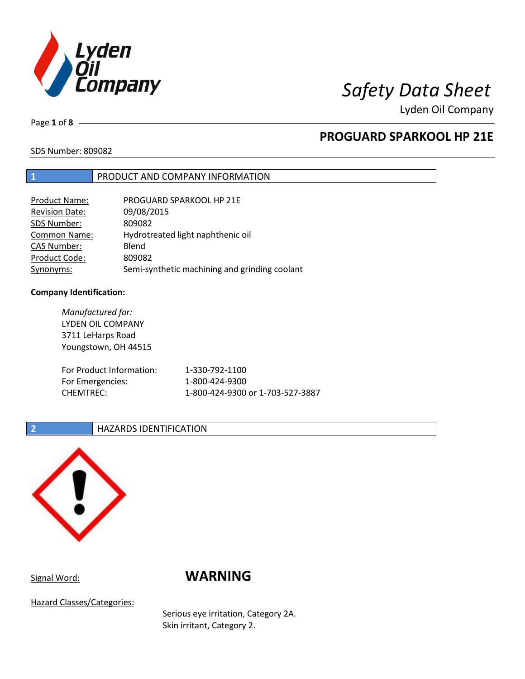

Lyden Oil Company

Page **1** of **8**

## **PROGUARD SPARKOOL HP 21E**

SDS Number: 809082

### **1** PRODUCT AND COMPANY INFORMATION

| Product Name:         | PROGUARD SPARKOOL HP 21E                      |
|-----------------------|-----------------------------------------------|
| <b>Revision Date:</b> | 09/08/2015                                    |
| SDS Number:           | 809082                                        |
| <b>Common Name:</b>   | Hydrotreated light naphthenic oil             |
| <b>CAS Number:</b>    | Blend                                         |
| Product Code:         | 809082                                        |
| Synonyms:             | Semi-synthetic machining and grinding coolant |

### **Company Identification:**

*Manufactured for:* LYDEN OIL COMPANY 3711 LeHarps Road Youngstown, OH 44515 For Product Information: 1-330-792-1100 For Emergencies: 1-800-424-9300 CHEMTREC: 1-800-424-9300 or 1-703-527-3887

### **2 HAZARDS IDENTIFICATION**



# Signal Word: **WARNING**

Hazard Classes/Categories:

Serious eye irritation, Category 2A. Skin irritant, Category 2.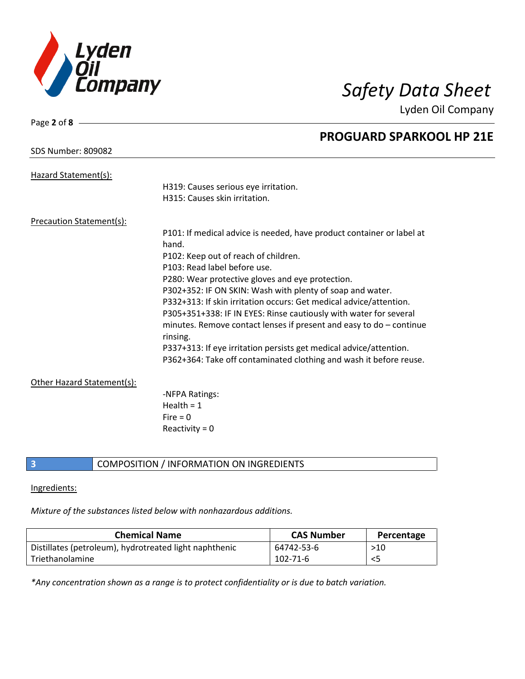

Lyden Oil Company

| Page 2 of 8 -                   |                                                                       |
|---------------------------------|-----------------------------------------------------------------------|
|                                 | <b>PROGUARD SPARKOOL HP 21E</b>                                       |
| <b>SDS Number: 809082</b>       |                                                                       |
|                                 |                                                                       |
| Hazard Statement(s):            |                                                                       |
|                                 | H319: Causes serious eye irritation.                                  |
|                                 | H315: Causes skin irritation.                                         |
| <b>Precaution Statement(s):</b> |                                                                       |
|                                 | P101: If medical advice is needed, have product container or label at |
|                                 | hand.                                                                 |
|                                 | P102: Keep out of reach of children.                                  |
|                                 | P103: Read label before use.                                          |
|                                 | P280: Wear protective gloves and eye protection.                      |
|                                 | P302+352: IF ON SKIN: Wash with plenty of soap and water.             |
|                                 | P332+313: If skin irritation occurs: Get medical advice/attention.    |
|                                 | P305+351+338: IF IN EYES: Rinse cautiously with water for several     |
|                                 | minutes. Remove contact lenses if present and easy to $do$ – continue |
|                                 | rinsing.                                                              |
|                                 | P337+313: If eye irritation persists get medical advice/attention.    |
|                                 | P362+364: Take off contaminated clothing and wash it before reuse.    |
|                                 |                                                                       |
| Other Hazard Statement(s):      |                                                                       |
|                                 | -NFPA Ratings:<br>Health = $1$                                        |
|                                 |                                                                       |
|                                 | Fire $= 0$                                                            |
|                                 | Reactivity = $0$                                                      |

### **3 COMPOSITION** / INFORMATION ON INGREDIENTS

### Ingredients:

*Mixture of the substances listed below with nonhazardous additions.*

| <b>Chemical Name</b>                                   | <b>CAS Number</b> | Percentage |
|--------------------------------------------------------|-------------------|------------|
| Distillates (petroleum), hydrotreated light naphthenic | 64742-53-6        | >10        |
| Triethanolamine                                        | 102-71-6          | $<$ 5      |

*\*Any concentration shown as a range is to protect confidentiality or is due to batch variation.*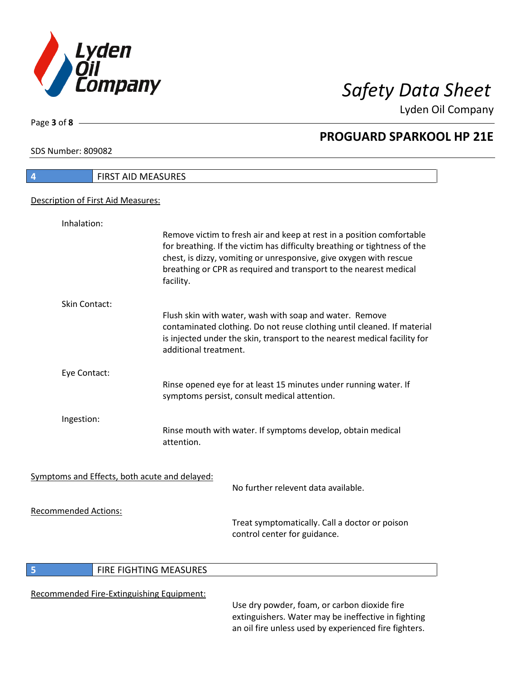

Lyden Oil Company

SDS Number: 809082

Page **3** of **8**

 $\overline{\phantom{a}}$ 

| 4                           | <b>FIRST AID MEASURES</b>                                                                                                                                                                                                                                                                                  |
|-----------------------------|------------------------------------------------------------------------------------------------------------------------------------------------------------------------------------------------------------------------------------------------------------------------------------------------------------|
|                             | Description of First Aid Measures:                                                                                                                                                                                                                                                                         |
| Inhalation:                 |                                                                                                                                                                                                                                                                                                            |
|                             | Remove victim to fresh air and keep at rest in a position comfortable<br>for breathing. If the victim has difficulty breathing or tightness of the<br>chest, is dizzy, vomiting or unresponsive, give oxygen with rescue<br>breathing or CPR as required and transport to the nearest medical<br>facility. |
| <b>Skin Contact:</b>        |                                                                                                                                                                                                                                                                                                            |
|                             | Flush skin with water, wash with soap and water. Remove<br>contaminated clothing. Do not reuse clothing until cleaned. If material<br>is injected under the skin, transport to the nearest medical facility for<br>additional treatment.                                                                   |
| Eye Contact:                |                                                                                                                                                                                                                                                                                                            |
|                             | Rinse opened eye for at least 15 minutes under running water. If<br>symptoms persist, consult medical attention.                                                                                                                                                                                           |
| Ingestion:                  |                                                                                                                                                                                                                                                                                                            |
|                             | Rinse mouth with water. If symptoms develop, obtain medical<br>attention.                                                                                                                                                                                                                                  |
|                             | Symptoms and Effects, both acute and delayed:                                                                                                                                                                                                                                                              |
|                             | No further relevent data available.                                                                                                                                                                                                                                                                        |
| <b>Recommended Actions:</b> | Treat symptomatically. Call a doctor or poison<br>control center for guidance.                                                                                                                                                                                                                             |

### **5 FIRE FIGHTING MEASURES**

### Recommended Fire-Extinguishing Equipment:

Use dry powder, foam, or carbon dioxide fire extinguishers. Water may be ineffective in fighting an oil fire unless used by experienced fire fighters.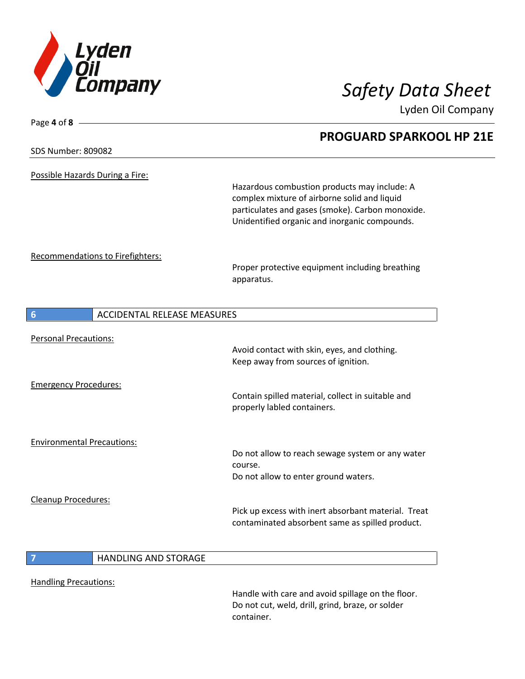

Page **4** of **8**

Lyden Oil Company

|                                                       | <b>PROGUARD SPARKOOL HP 21E</b>                                                                                                                                                                   |
|-------------------------------------------------------|---------------------------------------------------------------------------------------------------------------------------------------------------------------------------------------------------|
| <b>SDS Number: 809082</b>                             |                                                                                                                                                                                                   |
| Possible Hazards During a Fire:                       | Hazardous combustion products may include: A<br>complex mixture of airborne solid and liquid<br>particulates and gases (smoke). Carbon monoxide.<br>Unidentified organic and inorganic compounds. |
| Recommendations to Firefighters:                      | Proper protective equipment including breathing<br>apparatus.                                                                                                                                     |
| <b>ACCIDENTAL RELEASE MEASURES</b><br>$6\phantom{1}6$ |                                                                                                                                                                                                   |
| <b>Personal Precautions:</b>                          | Avoid contact with skin, eyes, and clothing.<br>Keep away from sources of ignition.                                                                                                               |
| <b>Emergency Procedures:</b>                          | Contain spilled material, collect in suitable and<br>properly labled containers.                                                                                                                  |
| <b>Environmental Precautions:</b>                     | Do not allow to reach sewage system or any water<br>course.<br>Do not allow to enter ground waters.                                                                                               |
| Cleanup Procedures:                                   | Pick up excess with inert absorbant material. Treat<br>contaminated absorbent same as spilled product.                                                                                            |
| <b>HANDLING AND STORAGE</b><br>7                      |                                                                                                                                                                                                   |

Handling Precautions:

Handle with care and avoid spillage on the floor. Do not cut, weld, drill, grind, braze, or solder container.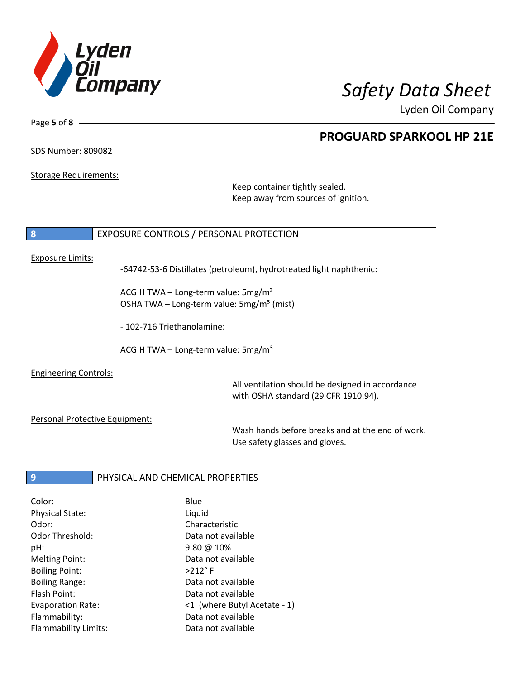

Lyden Oil Company

SDS Number: 809082

Page **5** of **8**

Storage Requirements:

Keep container tightly sealed. Keep away from sources of ignition.

### **8** EXPOSURE CONTROLS / PERSONAL PROTECTION

### Exposure Limits:

-64742-53-6 Distillates (petroleum), hydrotreated light naphthenic:

ACGIH TWA – Long-term value:  $5mg/m<sup>3</sup>$ OSHA TWA – Long-term value:  $5mg/m<sup>3</sup>$  (mist)

- 102-716 Triethanolamine:

ACGIH TWA - Long-term value:  $5mg/m<sup>3</sup>$ 

Engineering Controls:

All ventilation should be designed in accordance with OSHA standard (29 CFR 1910.94).

Personal Protective Equipment:

Wash hands before breaks and at the end of work. Use safety glasses and gloves.

### **9** PHYSICAL AND CHEMICAL PROPERTIES

| Color:                      | Blue                         |
|-----------------------------|------------------------------|
| <b>Physical State:</b>      | Liquid                       |
| Odor:                       | Characteristic               |
| <b>Odor Threshold:</b>      | Data not available           |
| pH:                         | $9.80 \ @ 10\%$              |
| <b>Melting Point:</b>       | Data not available           |
| <b>Boiling Point:</b>       | $>212$ °F                    |
| <b>Boiling Range:</b>       | Data not available           |
| Flash Point:                | Data not available           |
| Evaporation Rate:           | <1 (where Butyl Acetate - 1) |
| Flammability:               | Data not available           |
| <b>Flammability Limits:</b> | Data not available           |
|                             |                              |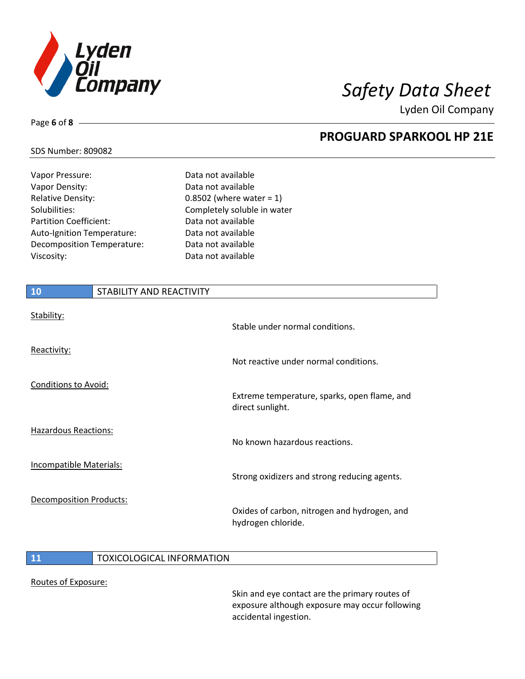

Lyden Oil Company

### SDS Number: 809082

Page **6** of **8**

| Vapor Pressure:            |                          | Data not available          |
|----------------------------|--------------------------|-----------------------------|
| Vapor Density:             |                          | Data not available          |
| <b>Relative Density:</b>   |                          | 0.8502 (where water = $1$ ) |
| Solubilities:              |                          | Completely soluble in water |
| Partition Coefficient:     |                          | Data not available          |
| Auto-Ignition Temperature: |                          | Data not available          |
| Decomposition Temperature: |                          | Data not available          |
| Viscosity:                 |                          | Data not available          |
|                            |                          |                             |
|                            |                          |                             |
| <b>10</b>                  | STABILITY AND REACTIVITY |                             |

| Stability:                     | Stable under normal conditions.                                    |
|--------------------------------|--------------------------------------------------------------------|
| Reactivity:                    | Not reactive under normal conditions.                              |
| <b>Conditions to Avoid:</b>    | Extreme temperature, sparks, open flame, and<br>direct sunlight.   |
| <b>Hazardous Reactions:</b>    | No known hazardous reactions.                                      |
| <b>Incompatible Materials:</b> | Strong oxidizers and strong reducing agents.                       |
| <b>Decomposition Products:</b> | Oxides of carbon, nitrogen and hydrogen, and<br>hydrogen chloride. |

### **11** TOXICOLOGICAL INFORMATION

### Routes of Exposure:

Skin and eye contact are the primary routes of exposure although exposure may occur following accidental ingestion.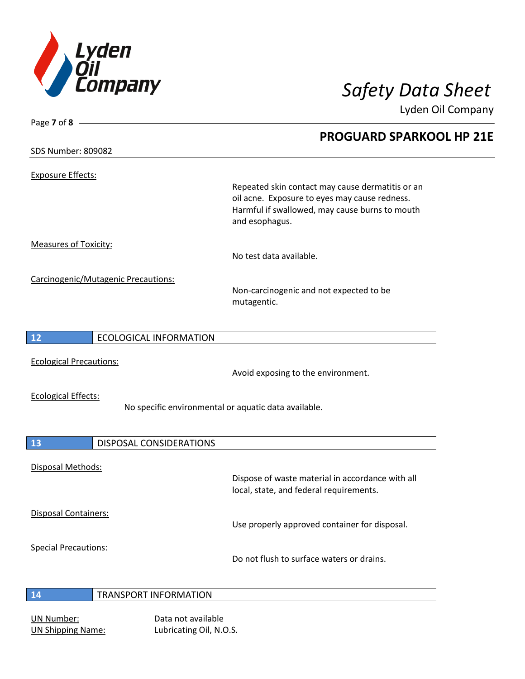

Lyden Oil Company

Exposure Effects:

Page **7** of **8**

Repeated skin contact may cause dermatitis or an oil acne. Exposure to eyes may cause redness. Harmful if swallowed, may cause burns to mouth and esophagus.

Measures of Toxicity:

No test data available.

Carcinogenic/Mutagenic Precautions:

Non-carcinogenic and not expected to be mutagentic.

|  |  | <b>ECOLOGICAL</b><br><b>LINFORMATION</b> |
|--|--|------------------------------------------|
|--|--|------------------------------------------|

Ecological Precautions:

Avoid exposing to the environment.

Ecological Effects:

No specific environmental or aquatic data available.

| 13                          | <b>DISPOSAL CONSIDERATIONS</b> |                                                                                             |
|-----------------------------|--------------------------------|---------------------------------------------------------------------------------------------|
| <b>Disposal Methods:</b>    |                                | Dispose of waste material in accordance with all<br>local, state, and federal requirements. |
| <b>Disposal Containers:</b> |                                | Use properly approved container for disposal.                                               |
| <b>Special Precautions:</b> |                                | Do not flush to surface waters or drains.                                                   |
| 14                          | <b>TRANSPORT INFORMATION</b>   |                                                                                             |

# UN Number: Data not available

UN Shipping Name: Lubricating Oil, N.O.S.